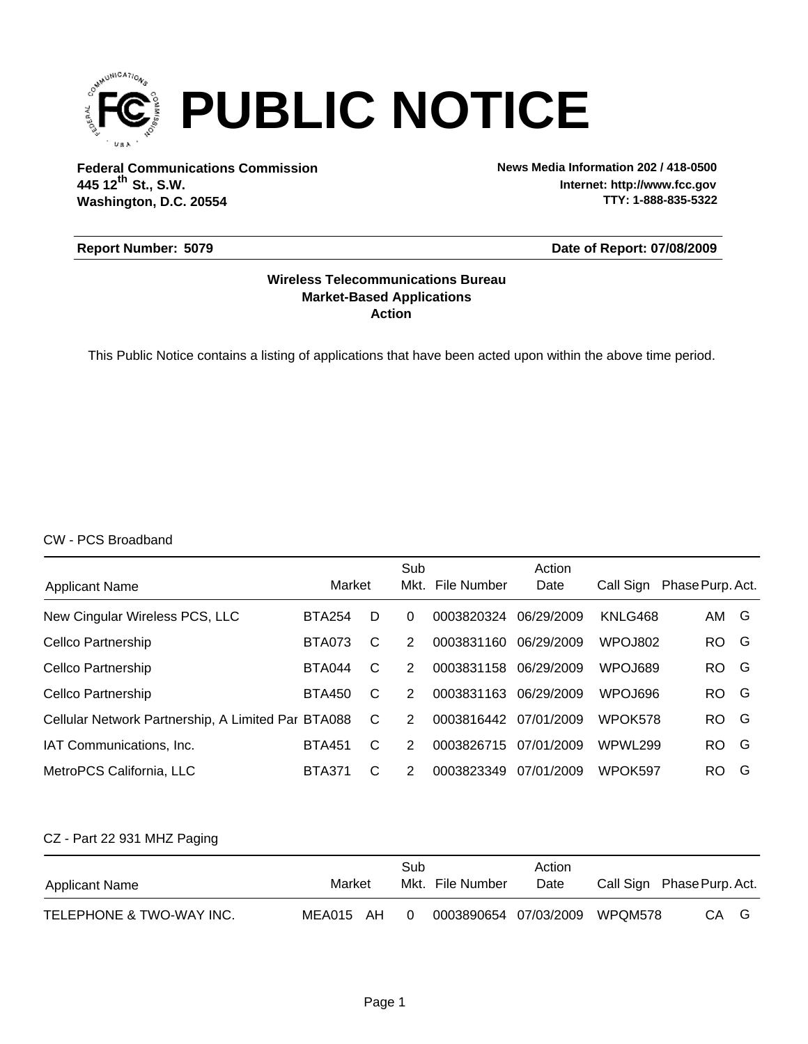

**Federal Communications Commission News Media Information 202 / 418-0500 Washington, D.C. 20554 th 445 12 St., S.W.**

**Internet: http://www.fcc.gov TTY: 1-888-835-5322**

#### **Report Number: 5079**

**Date of Report: 07/08/2009**

#### **Action Market-Based Applications Wireless Telecommunications Bureau**

This Public Notice contains a listing of applications that have been acted upon within the above time period.

CW - PCS Broadband

| <b>Applicant Name</b>                              | Market        |   | Sub<br>Mkt. | File Number | Action<br>Date | Call Sign | Phase Purp. Act. |   |
|----------------------------------------------------|---------------|---|-------------|-------------|----------------|-----------|------------------|---|
| New Cingular Wireless PCS, LLC                     | <b>BTA254</b> | D | $\Omega$    | 0003820324  | 06/29/2009     | KNLG468   | AM G             |   |
| Cellco Partnership                                 | <b>BTA073</b> | C | 2           | 0003831160  | 06/29/2009     | WPOJ802   | RO.              | G |
| Cellco Partnership                                 | <b>BTA044</b> | C | 2           | 0003831158  | 06/29/2009     | WPOJ689   | RO.              | G |
| Cellco Partnership                                 | <b>BTA450</b> | C | 2           | 0003831163  | 06/29/2009     | WPOJ696   | RO.              | G |
| Cellular Network Partnership, A Limited Par BTA088 |               | C | 2           | 0003816442  | 07/01/2009     | WPOK578   | RO.              | G |
| IAT Communications, Inc.                           | <b>BTA451</b> | C | 2           | 0003826715  | 07/01/2009     | WPWL299   | RO.              | G |
| MetroPCS California, LLC                           | <b>BTA371</b> | C | 2           | 0003823349  | 07/01/2009     | WPOK597   | RO.              | G |

#### CZ - Part 22 931 MHZ Paging

| Applicant Name           | Market    | Sub | Mkt. File Number      | Action<br>Date |         | Call Sign Phase Purp. Act. |
|--------------------------|-----------|-----|-----------------------|----------------|---------|----------------------------|
| TELEPHONE & TWO-WAY INC. | MEA015 AH |     | 0003890654 07/03/2009 |                | WPQM578 | CA<br>G                    |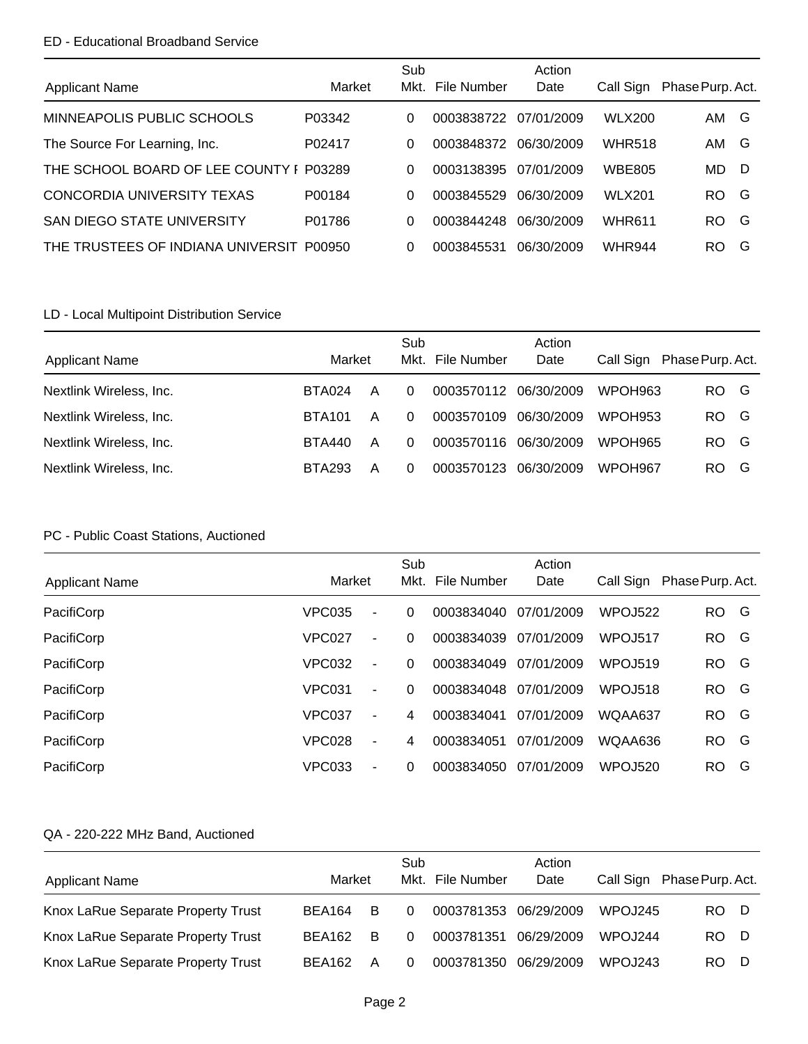### ED - Educational Broadband Service

|                                         |        | Sub  |             | Action     |               |                  |
|-----------------------------------------|--------|------|-------------|------------|---------------|------------------|
| <b>Applicant Name</b>                   | Market | Mkt. | File Number | Date       | Call Sign     | Phase Purp. Act. |
| MINNEAPOLIS PUBLIC SCHOOLS              | P03342 | 0    | 0003838722  | 07/01/2009 | <b>WLX200</b> | AM G             |
| The Source For Learning, Inc.           | P02417 | 0    | 0003848372  | 06/30/2009 | <b>WHR518</b> | AM G             |
| THE SCHOOL BOARD OF LEE COUNTY I P03289 |        | 0    | 0003138395  | 07/01/2009 | <b>WBE805</b> | MD.<br>- D       |
| CONCORDIA UNIVERSITY TEXAS              | P00184 | 0    | 0003845529  | 06/30/2009 | <b>WLX201</b> | G<br>RO.         |
| <b>SAN DIEGO STATE UNIVERSITY</b>       | P01786 | 0    | 0003844248  | 06/30/2009 | <b>WHR611</b> | G<br>RO.         |
| THE TRUSTEES OF INDIANA UNIVERSIT       | P00950 | 0    | 0003845531  | 06/30/2009 | <b>WHR944</b> | G<br>RO.         |

## LD - Local Multipoint Distribution Service

|                         |               |   | Sub  |             | Action     |                |                  |
|-------------------------|---------------|---|------|-------------|------------|----------------|------------------|
| <b>Applicant Name</b>   | Market        |   | Mkt. | File Number | Date       | Call Sign      | Phase Purp. Act. |
| Nextlink Wireless, Inc. | BTA024        | A | 0    | 0003570112  | 06/30/2009 | WPOH963        | RO.<br>G         |
| Nextlink Wireless, Inc. | <b>BTA101</b> | А | 0    | 0003570109  | 06/30/2009 | <b>WPOH953</b> | RO.<br>G         |
| Nextlink Wireless, Inc. | BTA440        | A | 0    | 0003570116  | 06/30/2009 | WPOH965        | RO.<br>G         |
| Nextlink Wireless, Inc. | BTA293        | Α | 0    | 0003570123  | 06/30/2009 | WPOH967        | RO.<br>G         |

## PC - Public Coast Stations, Auctioned

|                       |               |                          | Sub  |             | Action     |                 |                  |   |
|-----------------------|---------------|--------------------------|------|-------------|------------|-----------------|------------------|---|
| <b>Applicant Name</b> | Market        |                          | Mkt. | File Number | Date       | Call Sign       | Phase Purp. Act. |   |
| PacifiCorp            | <b>VPC035</b> | $\blacksquare$           | 0    | 0003834040  | 07/01/2009 | WPOJ522         | RO.              | G |
| PacifiCorp            | <b>VPC027</b> | ÷                        | 0    | 0003834039  | 07/01/2009 | WPOJ517         | RO.              | G |
| PacifiCorp            | <b>VPC032</b> | $\blacksquare$           | 0    | 0003834049  | 07/01/2009 | <b>WPO.J519</b> | RO.              | G |
| PacifiCorp            | VPC031        | $\overline{\phantom{m}}$ | 0    | 0003834048  | 07/01/2009 | WPOJ518         | RO.              | G |
| PacifiCorp            | VPC037        | $\blacksquare$           | 4    | 0003834041  | 07/01/2009 | WQAA637         | RO.              | G |
| PacifiCorp            | <b>VPC028</b> | ÷                        | 4    | 0003834051  | 07/01/2009 | WQAA636         | RO.              | G |
| PacifiCorp            | VPC033        | ۰                        | 0    | 0003834050  | 07/01/2009 | WPOJ520         | <b>RO</b>        | G |

| <b>Applicant Name</b>              | Market |   | Sub      | Mkt. File Number      | Action<br>Date |                | Call Sign Phase Purp. Act. |
|------------------------------------|--------|---|----------|-----------------------|----------------|----------------|----------------------------|
| Knox LaRue Separate Property Trust | BEA164 | B | $\Omega$ | 0003781353            | 06/29/2009     | <b>WPOJ245</b> | RO.<br>- D                 |
| Knox LaRue Separate Property Trust | BEA162 | B | $\Omega$ | 0003781351            | 06/29/2009     | <b>WPOJ244</b> | RO.<br>- D                 |
| Knox LaRue Separate Property Trust | BEA162 | A | 0        | 0003781350 06/29/2009 |                | <b>WPOJ243</b> | RO.<br>Ð                   |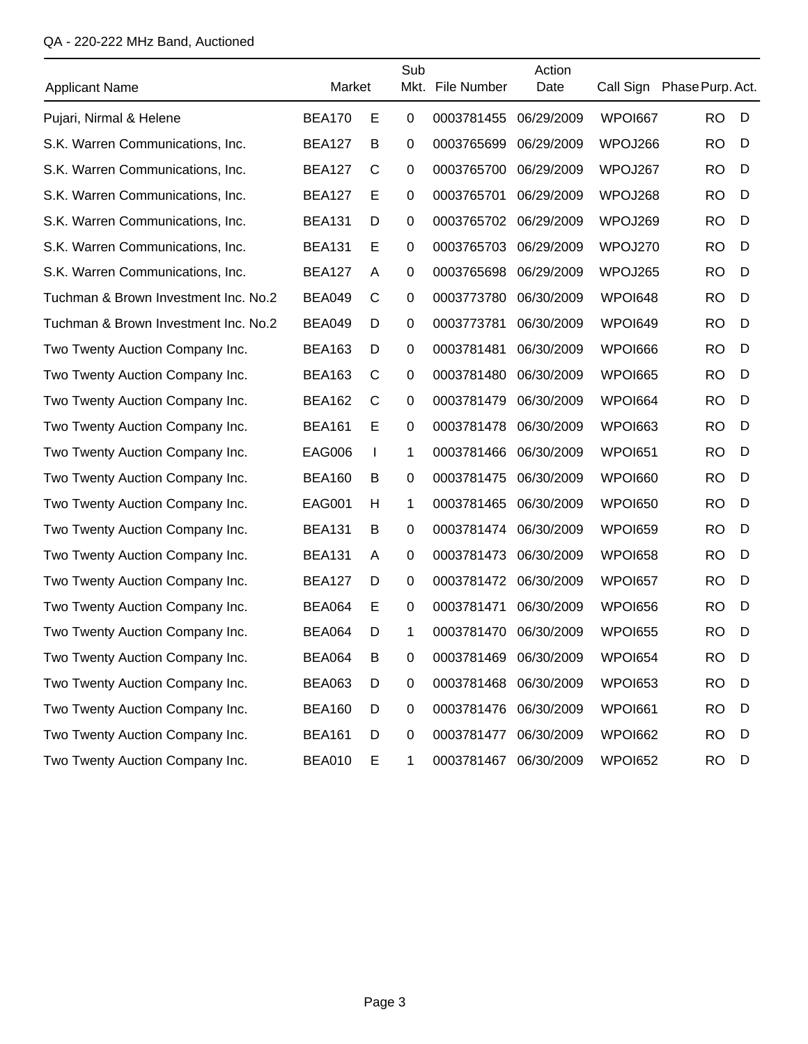| <b>Applicant Name</b>                | Market        |    | Sub         | Mkt. File Number | Action<br>Date |                | Call Sign Phase Purp. Act. |   |
|--------------------------------------|---------------|----|-------------|------------------|----------------|----------------|----------------------------|---|
| Pujari, Nirmal & Helene              | <b>BEA170</b> | Е  | 0           | 0003781455       | 06/29/2009     | WPOI667        | <b>RO</b>                  | D |
| S.K. Warren Communications, Inc.     | <b>BEA127</b> | B  | 0           | 0003765699       | 06/29/2009     | WPOJ266        | <b>RO</b>                  | D |
| S.K. Warren Communications, Inc.     | <b>BEA127</b> | C  | $\mathbf 0$ | 0003765700       | 06/29/2009     | WPOJ267        | <b>RO</b>                  | D |
| S.K. Warren Communications, Inc.     | <b>BEA127</b> | E  | 0           | 0003765701       | 06/29/2009     | WPOJ268        | <b>RO</b>                  | D |
| S.K. Warren Communications, Inc.     | <b>BEA131</b> | D  | $\mathbf 0$ | 0003765702       | 06/29/2009     | WPOJ269        | <b>RO</b>                  | D |
| S.K. Warren Communications, Inc.     | <b>BEA131</b> | Е  | 0           | 0003765703       | 06/29/2009     | WPOJ270        | <b>RO</b>                  | D |
| S.K. Warren Communications, Inc.     | <b>BEA127</b> | A  | 0           | 0003765698       | 06/29/2009     | WPOJ265        | <b>RO</b>                  | D |
| Tuchman & Brown Investment Inc. No.2 | <b>BEA049</b> | C  | 0           | 0003773780       | 06/30/2009     | WPOI648        | <b>RO</b>                  | D |
| Tuchman & Brown Investment Inc. No.2 | <b>BEA049</b> | D  | 0           | 0003773781       | 06/30/2009     | WPOI649        | <b>RO</b>                  | D |
| Two Twenty Auction Company Inc.      | <b>BEA163</b> | D  | $\mathbf 0$ | 0003781481       | 06/30/2009     | WPOI666        | <b>RO</b>                  | D |
| Two Twenty Auction Company Inc.      | <b>BEA163</b> | C  | 0           | 0003781480       | 06/30/2009     | <b>WPOI665</b> | <b>RO</b>                  | D |
| Two Twenty Auction Company Inc.      | <b>BEA162</b> | C  | 0           | 0003781479       | 06/30/2009     | WPOI664        | <b>RO</b>                  | D |
| Two Twenty Auction Company Inc.      | <b>BEA161</b> | E  | 0           | 0003781478       | 06/30/2009     | <b>WPOI663</b> | <b>RO</b>                  | D |
| Two Twenty Auction Company Inc.      | <b>EAG006</b> | J. | 1           | 0003781466       | 06/30/2009     | <b>WPOI651</b> | <b>RO</b>                  | D |
| Two Twenty Auction Company Inc.      | <b>BEA160</b> | B  | 0           | 0003781475       | 06/30/2009     | WPOI660        | <b>RO</b>                  | D |
| Two Twenty Auction Company Inc.      | <b>EAG001</b> | н  | 1           | 0003781465       | 06/30/2009     | <b>WPOI650</b> | <b>RO</b>                  | D |
| Two Twenty Auction Company Inc.      | <b>BEA131</b> | В  | 0           | 0003781474       | 06/30/2009     | <b>WPOI659</b> | <b>RO</b>                  | D |
| Two Twenty Auction Company Inc.      | <b>BEA131</b> | A  | $\mathbf 0$ | 0003781473       | 06/30/2009     | <b>WPOI658</b> | <b>RO</b>                  | D |
| Two Twenty Auction Company Inc.      | <b>BEA127</b> | D  | $\mathbf 0$ | 0003781472       | 06/30/2009     | <b>WPOI657</b> | <b>RO</b>                  | D |
| Two Twenty Auction Company Inc.      | <b>BEA064</b> | Е  | 0           | 0003781471       | 06/30/2009     | WPOI656        | <b>RO</b>                  | D |
| Two Twenty Auction Company Inc.      | <b>BEA064</b> | D  | 1           | 0003781470       | 06/30/2009     | <b>WPOI655</b> | <b>RO</b>                  | D |
| Two Twenty Auction Company Inc.      | <b>BEA064</b> | B  | 0           | 0003781469       | 06/30/2009     | <b>WPOI654</b> | RO.                        | D |
| Two Twenty Auction Company Inc.      | <b>BEA063</b> | D  | $\mathbf 0$ | 0003781468       | 06/30/2009     | WPOI653        | <b>RO</b>                  | D |
| Two Twenty Auction Company Inc.      | <b>BEA160</b> | D  | 0           | 0003781476       | 06/30/2009     | WPOI661        | RO.                        | D |
| Two Twenty Auction Company Inc.      | <b>BEA161</b> | D  | 0           | 0003781477       | 06/30/2009     | WPOI662        | <b>RO</b>                  | D |
| Two Twenty Auction Company Inc.      | <b>BEA010</b> | Е  | 1           | 0003781467       | 06/30/2009     | <b>WPOI652</b> | <b>RO</b>                  | D |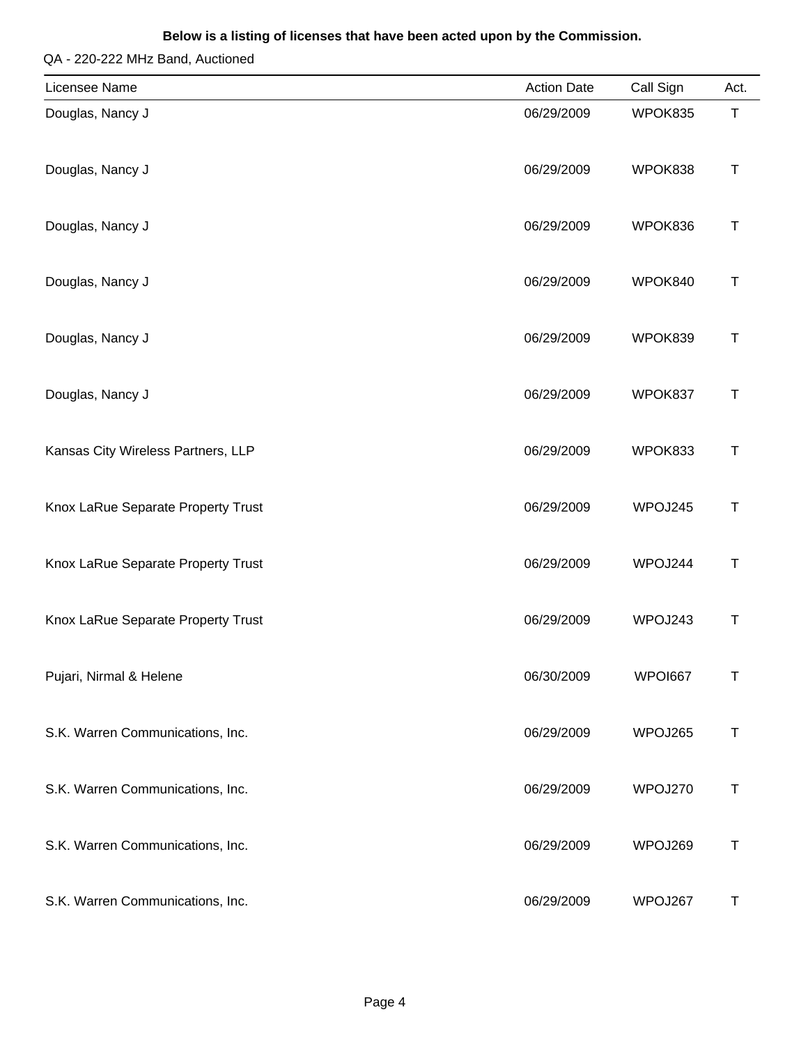| Licensee Name                      | <b>Action Date</b> | Call Sign | Act.        |
|------------------------------------|--------------------|-----------|-------------|
| Douglas, Nancy J                   | 06/29/2009         | WPOK835   | $\mathsf T$ |
| Douglas, Nancy J                   | 06/29/2009         | WPOK838   | Τ           |
| Douglas, Nancy J                   | 06/29/2009         | WPOK836   | Τ           |
| Douglas, Nancy J                   | 06/29/2009         | WPOK840   | Т           |
| Douglas, Nancy J                   | 06/29/2009         | WPOK839   | T           |
| Douglas, Nancy J                   | 06/29/2009         | WPOK837   | $\mathsf T$ |
| Kansas City Wireless Partners, LLP | 06/29/2009         | WPOK833   | $\top$      |
| Knox LaRue Separate Property Trust | 06/29/2009         | WPOJ245   | $\mathsf T$ |
| Knox LaRue Separate Property Trust | 06/29/2009         | WPOJ244   | $\top$      |
| Knox LaRue Separate Property Trust | 06/29/2009         | WPOJ243   | т           |
| Pujari, Nirmal & Helene            | 06/30/2009         | WPOI667   | Τ           |
| S.K. Warren Communications, Inc.   | 06/29/2009         | WPOJ265   | T           |
| S.K. Warren Communications, Inc.   | 06/29/2009         | WPOJ270   | Τ           |
| S.K. Warren Communications, Inc.   | 06/29/2009         | WPOJ269   | Τ           |
| S.K. Warren Communications, Inc.   | 06/29/2009         | WPOJ267   | Τ           |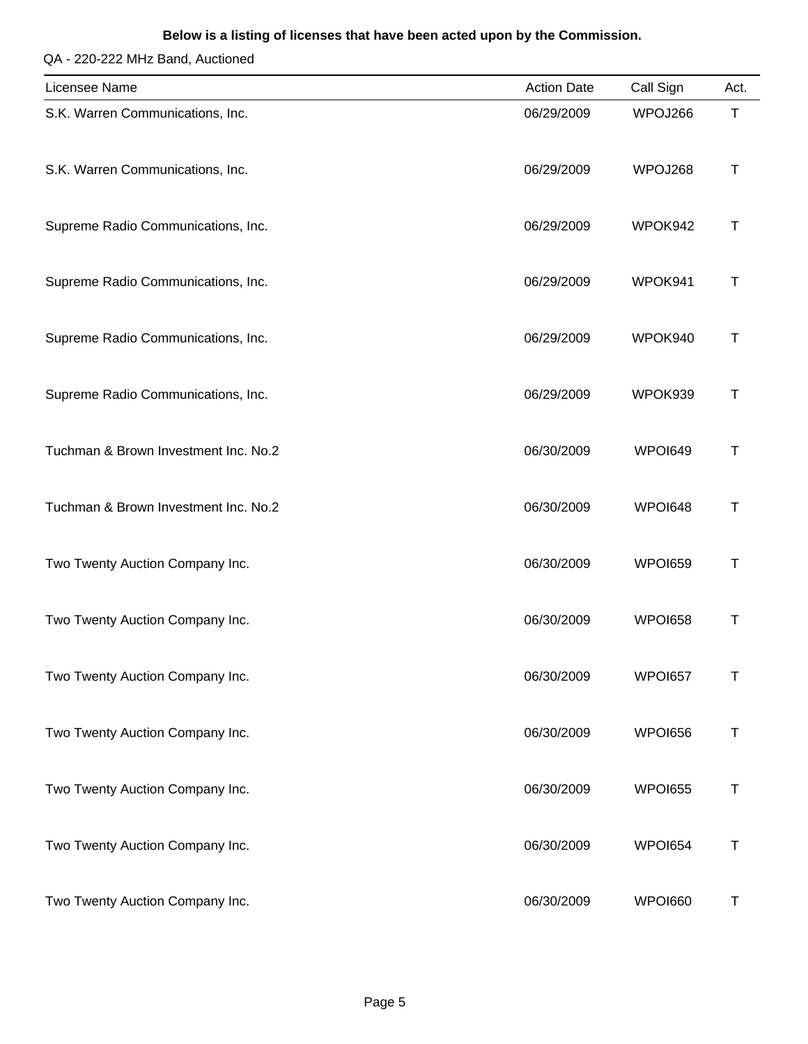#### **Below is a listing of licenses that have been acted upon by the Commission.**

| Licensee Name                        | <b>Action Date</b> | Call Sign      | Act.        |
|--------------------------------------|--------------------|----------------|-------------|
| S.K. Warren Communications, Inc.     | 06/29/2009         | WPOJ266        | $\mathsf T$ |
| S.K. Warren Communications, Inc.     | 06/29/2009         | WPOJ268        | т           |
| Supreme Radio Communications, Inc.   | 06/29/2009         | WPOK942        | Т           |
| Supreme Radio Communications, Inc.   | 06/29/2009         | WPOK941        | Т           |
| Supreme Radio Communications, Inc.   | 06/29/2009         | WPOK940        | Т           |
| Supreme Radio Communications, Inc.   | 06/29/2009         | WPOK939        | Т           |
| Tuchman & Brown Investment Inc. No.2 | 06/30/2009         | WPOI649        | Τ           |
| Tuchman & Brown Investment Inc. No.2 | 06/30/2009         | WPOI648        | Т           |
| Two Twenty Auction Company Inc.      | 06/30/2009         | WPOI659        | $\top$      |
| Two Twenty Auction Company Inc.      | 06/30/2009         | WPOI658        | т           |
| Two Twenty Auction Company Inc.      | 06/30/2009         | WPOI657        | Τ           |
| Two Twenty Auction Company Inc.      | 06/30/2009         | WPOI656        | T           |
| Two Twenty Auction Company Inc.      | 06/30/2009         | <b>WPOI655</b> | Τ           |
| Two Twenty Auction Company Inc.      | 06/30/2009         | WPOI654        | Τ           |
| Two Twenty Auction Company Inc.      | 06/30/2009         | WPOI660        | Τ           |